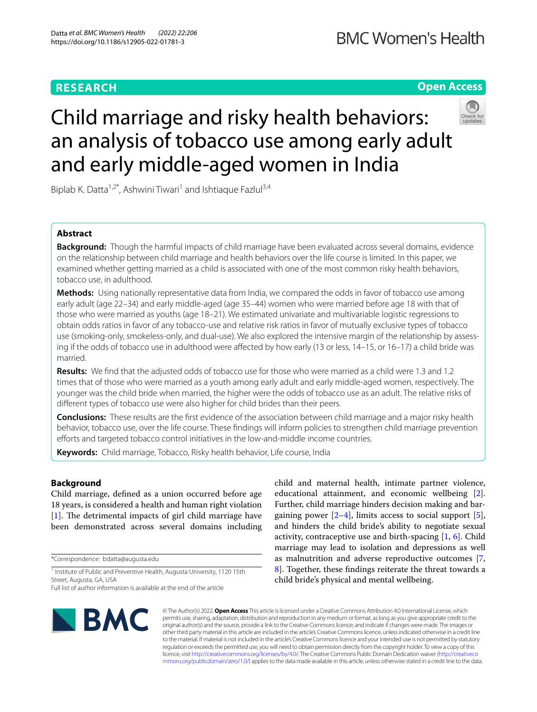# **RESEARCH**

# **Open Access**

# Child marriage and risky health behaviors: an analysis of tobacco use among early adult and early middle-aged women in India

Biplab K. Datta<sup>1,2\*</sup>, Ashwini Tiwari<sup>1</sup> and Ishtiaque Fazlul<sup>3,4</sup>

# **Abstract**

**Background:** Though the harmful impacts of child marriage have been evaluated across several domains, evidence on the relationship between child marriage and health behaviors over the life course is limited. In this paper, we examined whether getting married as a child is associated with one of the most common risky health behaviors, tobacco use, in adulthood.

**Methods:** Using nationally representative data from India, we compared the odds in favor of tobacco use among early adult (age 22–34) and early middle-aged (age 35–44) women who were married before age 18 with that of those who were married as youths (age 18–21). We estimated univariate and multivariable logistic regressions to obtain odds ratios in favor of any tobacco-use and relative risk ratios in favor of mutually exclusive types of tobacco use (smoking-only, smokeless-only, and dual-use). We also explored the intensive margin of the relationship by assessing if the odds of tobacco use in adulthood were afected by how early (13 or less, 14–15, or 16–17) a child bride was married.

**Results:** We fnd that the adjusted odds of tobacco use for those who were married as a child were 1.3 and 1.2 times that of those who were married as a youth among early adult and early middle-aged women, respectively. The younger was the child bride when married, the higher were the odds of tobacco use as an adult. The relative risks of diferent types of tobacco use were also higher for child brides than their peers.

**Conclusions:** These results are the frst evidence of the association between child marriage and a major risky health behavior, tobacco use, over the life course. These fndings will inform policies to strengthen child marriage prevention efforts and targeted tobacco control initiatives in the low-and-middle income countries.

**Keywords:** Child marriage, Tobacco, Risky health behavior, Life course, India

## **Background**

Child marriage, defned as a union occurred before age 18 years, is considered a health and human right violation [[1\]](#page-12-0). The detrimental impacts of girl child marriage have been demonstrated across several domains including

\*Correspondence: bdatta@augusta.edu

<sup>1</sup> Institute of Public and Preventive Health, Augusta University, 1120 15th Street, Augusta, GA, USA

child and maternal health, intimate partner violence, educational attainment, and economic wellbeing [\[2](#page-12-1)]. Further, child marriage hinders decision making and bargaining power  $[2-4]$  $[2-4]$  $[2-4]$ , limits access to social support  $[5]$  $[5]$ , and hinders the child bride's ability to negotiate sexual activity, contraceptive use and birth-spacing  $[1, 6]$  $[1, 6]$  $[1, 6]$  $[1, 6]$ . Child marriage may lead to isolation and depressions as well as malnutrition and adverse reproductive outcomes [\[7](#page-12-5), [8\]](#page-12-6). Together, these fndings reiterate the threat towards a child bride's physical and mental wellbeing.



© The Author(s) 2022. **Open Access** This article is licensed under a Creative Commons Attribution 4.0 International License, which permits use, sharing, adaptation, distribution and reproduction in any medium or format, as long as you give appropriate credit to the original author(s) and the source, provide a link to the Creative Commons licence, and indicate if changes were made. The images or other third party material in this article are included in the article's Creative Commons licence, unless indicated otherwise in a credit line to the material. If material is not included in the article's Creative Commons licence and your intended use is not permitted by statutory regulation or exceeds the permitted use, you will need to obtain permission directly from the copyright holder. To view a copy of this licence, visit [http://creativecommons.org/licenses/by/4.0/.](http://creativecommons.org/licenses/by/4.0/) The Creative Commons Public Domain Dedication waiver ([http://creativeco](http://creativecommons.org/publicdomain/zero/1.0/) [mmons.org/publicdomain/zero/1.0/](http://creativecommons.org/publicdomain/zero/1.0/)) applies to the data made available in this article, unless otherwise stated in a credit line to the data.

Full list of author information is available at the end of the article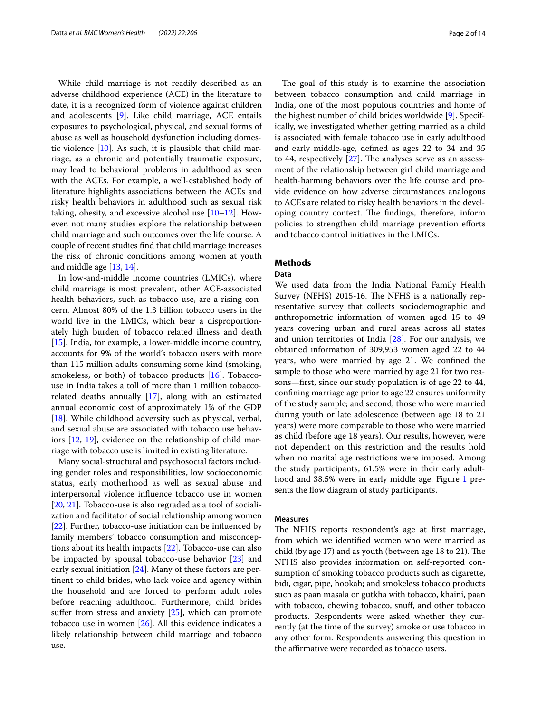While child marriage is not readily described as an adverse childhood experience (ACE) in the literature to date, it is a recognized form of violence against children and adolescents [\[9](#page-12-7)]. Like child marriage, ACE entails exposures to psychological, physical, and sexual forms of abuse as well as household dysfunction including domestic violence [[10\]](#page-12-8). As such, it is plausible that child marriage, as a chronic and potentially traumatic exposure, may lead to behavioral problems in adulthood as seen with the ACEs. For example, a well-established body of literature highlights associations between the ACEs and risky health behaviors in adulthood such as sexual risk taking, obesity, and excessive alcohol use [\[10–](#page-12-8)[12\]](#page-13-0). However, not many studies explore the relationship between child marriage and such outcomes over the life course. A couple of recent studies fnd that child marriage increases the risk of chronic conditions among women at youth and middle age [\[13,](#page-13-1) [14](#page-13-2)].

In low-and-middle income countries (LMICs), where child marriage is most prevalent, other ACE-associated health behaviors, such as tobacco use, are a rising concern. Almost 80% of the 1.3 billion tobacco users in the world live in the LMICs, which bear a disproportionately high burden of tobacco related illness and death [[15\]](#page-13-3). India, for example, a lower-middle income country, accounts for 9% of the world's tobacco users with more than 115 million adults consuming some kind (smoking, smokeless, or both) of tobacco products [[16\]](#page-13-4). Tobaccouse in India takes a toll of more than 1 million tobaccorelated deaths annually [[17](#page-13-5)], along with an estimated annual economic cost of approximately 1% of the GDP [[18\]](#page-13-6). While childhood adversity such as physical, verbal, and sexual abuse are associated with tobacco use behaviors [[12,](#page-13-0) [19](#page-13-7)], evidence on the relationship of child marriage with tobacco use is limited in existing literature.

Many social-structural and psychosocial factors including gender roles and responsibilities, low socioeconomic status, early motherhood as well as sexual abuse and interpersonal violence infuence tobacco use in women [[20,](#page-13-8) [21](#page-13-9)]. Tobacco-use is also regraded as a tool of socialization and facilitator of social relationship among women [[22\]](#page-13-10). Further, tobacco-use initiation can be influenced by family members' tobacco consumption and misconceptions about its health impacts [[22\]](#page-13-10). Tobacco-use can also be impacted by spousal tobacco-use behavior [\[23\]](#page-13-11) and early sexual initiation [[24\]](#page-13-12). Many of these factors are pertinent to child brides, who lack voice and agency within the household and are forced to perform adult roles before reaching adulthood. Furthermore, child brides suffer from stress and anxiety [[25](#page-13-13)], which can promote tobacco use in women [\[26\]](#page-13-14). All this evidence indicates a likely relationship between child marriage and tobacco use.

The goal of this study is to examine the association between tobacco consumption and child marriage in India, one of the most populous countries and home of the highest number of child brides worldwide [\[9](#page-12-7)]. Specifically, we investigated whether getting married as a child is associated with female tobacco use in early adulthood and early middle-age, defned as ages 22 to 34 and 35 to 44, respectively  $[27]$  $[27]$  $[27]$ . The analyses serve as an assessment of the relationship between girl child marriage and health-harming behaviors over the life course and provide evidence on how adverse circumstances analogous to ACEs are related to risky health behaviors in the developing country context. The findings, therefore, inform policies to strengthen child marriage prevention eforts and tobacco control initiatives in the LMICs.

#### **Methods**

#### **Data**

We used data from the India National Family Health Survey (NFHS) 2015-16. The NFHS is a nationally representative survey that collects sociodemographic and anthropometric information of women aged 15 to 49 years covering urban and rural areas across all states and union territories of India [\[28](#page-13-16)]. For our analysis, we obtained information of 309,953 women aged 22 to 44 years, who were married by age 21. We confned the sample to those who were married by age 21 for two reasons—frst, since our study population is of age 22 to 44, confning marriage age prior to age 22 ensures uniformity of the study sample; and second, those who were married during youth or late adolescence (between age 18 to 21 years) were more comparable to those who were married as child (before age 18 years). Our results, however, were not dependent on this restriction and the results hold when no marital age restrictions were imposed. Among the study participants, 61.5% were in their early adulthood and 38.5% were in early middle age. Figure [1](#page-2-0) presents the flow diagram of study participants.

#### **Measures**

The NFHS reports respondent's age at first marriage, from which we identifed women who were married as child (by age  $17$ ) and as youth (between age  $18$  to  $21$ ). The NFHS also provides information on self-reported consumption of smoking tobacco products such as cigarette, bidi, cigar, pipe, hookah; and smokeless tobacco products such as paan masala or gutkha with tobacco, khaini, paan with tobacco, chewing tobacco, snuff, and other tobacco products. Respondents were asked whether they currently (at the time of the survey) smoke or use tobacco in any other form. Respondents answering this question in the affirmative were recorded as tobacco users.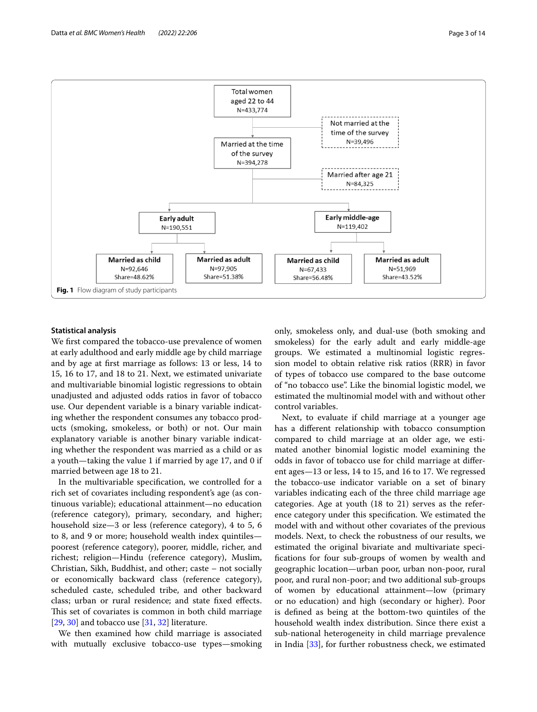

#### <span id="page-2-0"></span>**Statistical analysis**

We frst compared the tobacco-use prevalence of women at early adulthood and early middle age by child marriage and by age at frst marriage as follows: 13 or less, 14 to 15, 16 to 17, and 18 to 21. Next, we estimated univariate and multivariable binomial logistic regressions to obtain unadjusted and adjusted odds ratios in favor of tobacco use. Our dependent variable is a binary variable indicating whether the respondent consumes any tobacco products (smoking, smokeless, or both) or not. Our main explanatory variable is another binary variable indicating whether the respondent was married as a child or as a youth—taking the value 1 if married by age 17, and 0 if married between age 18 to 21.

In the multivariable specifcation, we controlled for a rich set of covariates including respondent's age (as continuous variable); educational attainment—no education (reference category), primary, secondary, and higher; household size—3 or less (reference category), 4 to 5, 6 to 8, and 9 or more; household wealth index quintiles poorest (reference category), poorer, middle, richer, and richest; religion—Hindu (reference category), Muslim, Christian, Sikh, Buddhist, and other; caste – not socially or economically backward class (reference category), scheduled caste, scheduled tribe, and other backward class; urban or rural residence; and state fxed efects. This set of covariates is common in both child marriage [[29,](#page-13-17) [30](#page-13-18)] and tobacco use [\[31](#page-13-19), [32\]](#page-13-20) literature.

We then examined how child marriage is associated with mutually exclusive tobacco-use types—smoking

only, smokeless only, and dual-use (both smoking and smokeless) for the early adult and early middle-age groups. We estimated a multinomial logistic regression model to obtain relative risk ratios (RRR) in favor of types of tobacco use compared to the base outcome of "no tobacco use". Like the binomial logistic model, we estimated the multinomial model with and without other control variables.

Next, to evaluate if child marriage at a younger age has a diferent relationship with tobacco consumption compared to child marriage at an older age, we estimated another binomial logistic model examining the odds in favor of tobacco use for child marriage at diferent ages—13 or less, 14 to 15, and 16 to 17. We regressed the tobacco-use indicator variable on a set of binary variables indicating each of the three child marriage age categories. Age at youth (18 to 21) serves as the reference category under this specifcation. We estimated the model with and without other covariates of the previous models. Next, to check the robustness of our results, we estimated the original bivariate and multivariate specifcations for four sub-groups of women by wealth and geographic location—urban poor, urban non-poor, rural poor, and rural non-poor; and two additional sub-groups of women by educational attainment—low (primary or no education) and high (secondary or higher). Poor is defned as being at the bottom-two quintiles of the household wealth index distribution. Since there exist a sub-national heterogeneity in child marriage prevalence in India [\[33\]](#page-13-21), for further robustness check, we estimated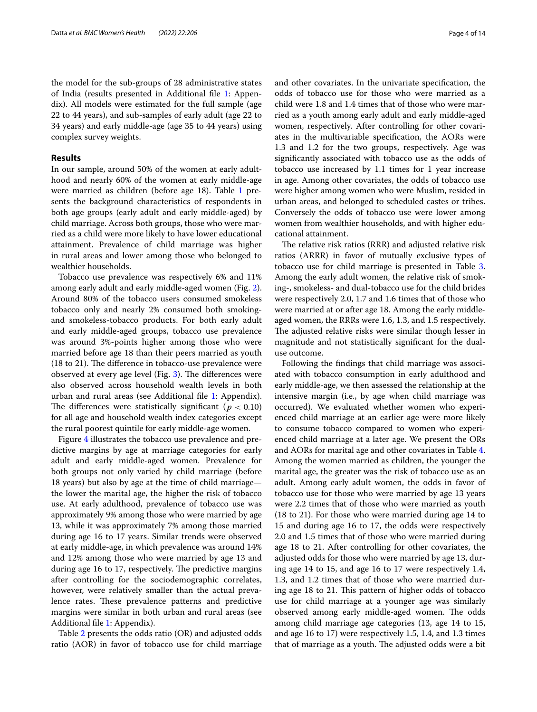#### **Results**

In our sample, around 50% of the women at early adulthood and nearly 60% of the women at early middle-age were married as children (before age [1](#page-4-0)8). Table 1 presents the background characteristics of respondents in both age groups (early adult and early middle-aged) by child marriage. Across both groups, those who were married as a child were more likely to have lower educational attainment. Prevalence of child marriage was higher in rural areas and lower among those who belonged to wealthier households.

Tobacco use prevalence was respectively 6% and 11% among early adult and early middle-aged women (Fig. [2](#page-5-0)). Around 80% of the tobacco users consumed smokeless tobacco only and nearly 2% consumed both smokingand smokeless-tobacco products. For both early adult and early middle-aged groups, tobacco use prevalence was around 3%-points higher among those who were married before age 18 than their peers married as youth  $(18 \text{ to } 21)$ . The difference in tobacco-use prevalence were observed at every age level (Fig.  $3$ ). The differences were also observed across household wealth levels in both urban and rural areas (see Additional fle [1](#page-12-9): Appendix). The differences were statistically significant ( $p < 0.10$ ) for all age and household wealth index categories except the rural poorest quintile for early middle-age women.

Figure [4](#page-6-1) illustrates the tobacco use prevalence and predictive margins by age at marriage categories for early adult and early middle-aged women. Prevalence for both groups not only varied by child marriage (before 18 years) but also by age at the time of child marriage the lower the marital age, the higher the risk of tobacco use. At early adulthood, prevalence of tobacco use was approximately 9% among those who were married by age 13, while it was approximately 7% among those married during age 16 to 17 years. Similar trends were observed at early middle-age, in which prevalence was around 14% and 12% among those who were married by age 13 and during age 16 to 17, respectively. The predictive margins after controlling for the sociodemographic correlates, however, were relatively smaller than the actual prevalence rates. These prevalence patterns and predictive margins were similar in both urban and rural areas (see Additional fle [1](#page-12-9): Appendix).

Table [2](#page-7-0) presents the odds ratio (OR) and adjusted odds ratio (AOR) in favor of tobacco use for child marriage and other covariates. In the univariate specifcation, the odds of tobacco use for those who were married as a child were 1.8 and 1.4 times that of those who were married as a youth among early adult and early middle-aged women, respectively. After controlling for other covariates in the multivariable specifcation, the AORs were 1.3 and 1.2 for the two groups, respectively. Age was signifcantly associated with tobacco use as the odds of tobacco use increased by 1.1 times for 1 year increase in age. Among other covariates, the odds of tobacco use were higher among women who were Muslim, resided in urban areas, and belonged to scheduled castes or tribes. Conversely the odds of tobacco use were lower among women from wealthier households, and with higher educational attainment.

The relative risk ratios (RRR) and adjusted relative risk ratios (ARRR) in favor of mutually exclusive types of tobacco use for child marriage is presented in Table [3](#page-8-0). Among the early adult women, the relative risk of smoking-, smokeless- and dual-tobacco use for the child brides were respectively 2.0, 1.7 and 1.6 times that of those who were married at or after age 18. Among the early middleaged women, the RRRs were 1.6, 1.3, and 1.5 respectively. The adjusted relative risks were similar though lesser in magnitude and not statistically signifcant for the dualuse outcome.

Following the fndings that child marriage was associated with tobacco consumption in early adulthood and early middle-age, we then assessed the relationship at the intensive margin (i.e., by age when child marriage was occurred). We evaluated whether women who experienced child marriage at an earlier age were more likely to consume tobacco compared to women who experienced child marriage at a later age. We present the ORs and AORs for marital age and other covariates in Table [4](#page-9-0). Among the women married as children, the younger the marital age, the greater was the risk of tobacco use as an adult. Among early adult women, the odds in favor of tobacco use for those who were married by age 13 years were 2.2 times that of those who were married as youth (18 to 21). For those who were married during age 14 to 15 and during age 16 to 17, the odds were respectively 2.0 and 1.5 times that of those who were married during age 18 to 21. After controlling for other covariates, the adjusted odds for those who were married by age 13, during age 14 to 15, and age 16 to 17 were respectively 1.4, 1.3, and 1.2 times that of those who were married during age 18 to 21. This pattern of higher odds of tobacco use for child marriage at a younger age was similarly observed among early middle-aged women. The odds among child marriage age categories (13, age 14 to 15, and age 16 to 17) were respectively 1.5, 1.4, and 1.3 times that of marriage as a youth. The adjusted odds were a bit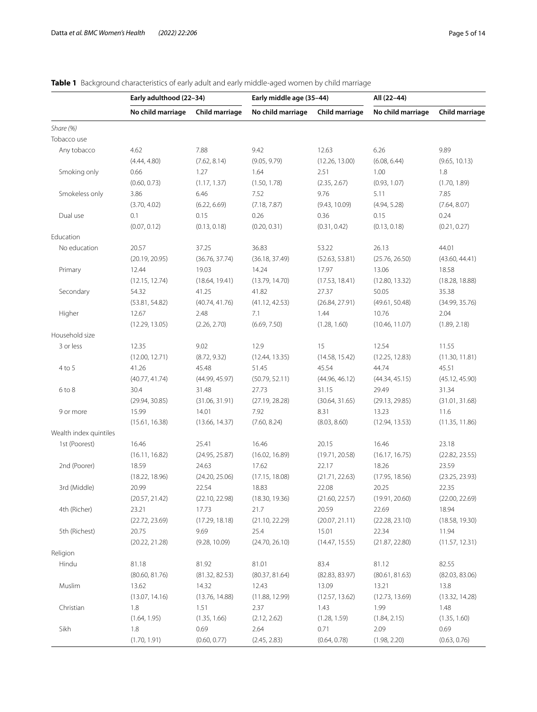# **Early adulthood (22–34) Early middle age (35–44) All (22–44) No child marriage Child marriage No child marriage Child marriage No child marriage Child marriage** *Share (%)* Tobacco use Any tobacco 4.62 7.88 9.42 12.63 6.26 9.89 (4.44, 4.80) (7.62, 8.14) (9.05, 9.79) (12.26, 13.00) (6.08, 6.44) (9.65, 10.13) Smoking only 0.66 1.27 1.64 2.51 1.00 1.8 (0.60, 0.73) (1.17, 1.37) (1.50, 1.78) (2.35, 2.67) (0.93, 1.07) (1.70, 1.89) Smokeless only 3.86 6.46 7.52 9.76 5.11 7.85 (3.70, 4.02) (6.22, 6.69) (7.18, 7.87) (9.43, 10.09) (4.94, 5.28) (7.64, 8.07) Dual use 0.1 0.15 0.26 0.36 0.15 0.24 (0.07, 0.12) (0.13, 0.18) (0.20, 0.31) (0.31, 0.42) (0.13, 0.18) (0.21, 0.27) Education No education 20.57 37.25 36.83 53.22 26.13 44.01 (20.19, 20.95) (36.76, 37.74) (36.18, 37.49) (52.63, 53.81) (25.76, 26.50) (43.60, 44.41) Primary 12.44 19.03 14.24 17.97 13.06 18.58 (12.15, 12.74) (18.64, 19.41) (13.79, 14.70) (17.53, 18.41) (12.80, 13.32) (18.28, 18.88) Secondary 54.32 41.25 41.82 27.37 50.05 35.38 (53.81, 54.82) (40.74, 41.76) (41.12, 42.53) (26.84, 27.91) (49.61, 50.48) (34.99, 35.76) Higher 12.67 2.48 7.1 1.44 10.76 2.04 (12.29, 13.05) (2.26, 2.70) (6.69, 7.50) (1.28, 1.60) (10.46, 11.07) (1.89, 2.18) Household size 3 or less 12.35 9.02 12.9 15 12.54 11.55 (12.00, 12.71) (8.72, 9.32) (12.44, 13.35) (14.58, 15.42) (12.25, 12.83) (11.30, 11.81) 4 to 5 41.26 45.48 51.45 45.51 45.54 44.74 45.51 (40.77, 41.74) (44.99, 45.97) (50.79, 52.11) (44.96, 46.12) (44.34, 45.15) (45.12, 45.90) 6 to 8 30.4 31.48 27.73 31.15 29.49 31.34 (29.94, 30.85) (31.06, 31.91) (27.19, 28.28) (30.64, 31.65) (29.13, 29.85) (31.01, 31.68) 9 or more 15.99 14.01 7.92 8.31 13.23 11.6 (15.61, 16.38) (13.66, 14.37) (7.60, 8.24) (8.03, 8.60) (12.94, 13.53) (11.35, 11.86) Wealth index quintiles 1st (Poorest) 16.46 25.41 16.46 20.15 16.46 23.18 (16.11, 16.82) (24.95, 25.87) (16.02, 16.89) (19.71, 20.58) (16.17, 16.75) (22.82, 23.55) 2nd (Poorer) 18.59 24.63 17.62 22.17 18.26 23.59 (18.22, 18.96) (24.20, 25.06) (17.15, 18.08) (21.71, 22.63) (17.95, 18.56) (23.25, 23.93) 3rd (Middle) 20.99 22.54 18.83 22.08 20.25 22.35 (20.57, 21.42) (22.10, 22.98) (18.30, 19.36) (21.60, 22.57) (19.91, 20.60) (22.00, 22.69) 4th (Richer) 23.21 17.73 21.7 20.59 22.69 18.94 (22.72, 23.69) (17.29, 18.18) (21.10, 22.29) (20.07, 21.11) (22.28, 23.10) (18.58, 19.30) 5th (Richest) 20.75 25.69 25.4 11.94 11.94 22.34 11.94 (20.22, 21.28) (9.28, 10.09) (24.70, 26.10) (14.47, 15.55) (21.87, 22.80) (11.57, 12.31) Religion Hindu 81.18 81.92 81.01 83.4 81.12 82.55 (80.60, 81.76) (81.32, 82.53) (80.37, 81.64) (82.83, 83.97) (80.61, 81.63) (82.03, 83.06) Muslim 13.62 14.32 12.43 13.09 13.21 13.82 13.82 (13.07, 14.16) (13.76, 14.88) (11.88, 12.99) (12.57, 13.62) (12.73, 13.69) (13.32, 14.28) Christian 1.8 1.51 2.37 1.43 1.99 1.48 (1.64, 1.95) (1.35, 1.66) (2.12, 2.62) (1.28, 1.59) (1.84, 2.15) (1.35, 1.60) Sikh 1.8 0.69 2.64 0.71 2.09 0.69 (1.70, 1.91) (0.60, 0.77) (2.45, 2.83) (0.64, 0.78) (1.98, 2.20) (0.63, 0.76)

### <span id="page-4-0"></span>**Table 1** Background characteristics of early adult and early middle-aged women by child marriage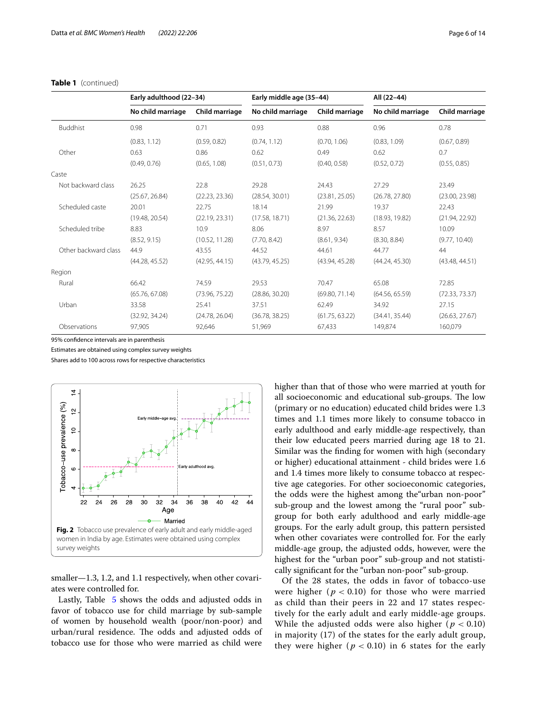|                      | Early adulthood (22-34) |                | Early middle age (35-44) |                | All (22-44)       |                |
|----------------------|-------------------------|----------------|--------------------------|----------------|-------------------|----------------|
|                      | No child marriage       | Child marriage | No child marriage        | Child marriage | No child marriage | Child marriage |
| <b>Buddhist</b>      | 0.98                    | 0.71           | 0.93                     | 0.88           | 0.96              | 0.78           |
|                      | (0.83, 1.12)            | (0.59, 0.82)   | (0.74, 1.12)             | (0.70, 1.06)   | (0.83, 1.09)      | (0.67, 0.89)   |
| Other                | 0.63                    | 0.86           | 0.62                     | 0.49           | 0.62              | 0.7            |
|                      | (0.49, 0.76)            | (0.65, 1.08)   | (0.51, 0.73)             | (0.40, 0.58)   | (0.52, 0.72)      | (0.55, 0.85)   |
| Caste                |                         |                |                          |                |                   |                |
| Not backward class   | 26.25                   | 22.8           | 29.28                    | 24.43          | 27.29             | 23.49          |
|                      | (25.67, 26.84)          | (22.23, 23.36) | (28.54, 30.01)           | (23.81, 25.05) | (26.78, 27.80)    | (23.00, 23.98) |
| Scheduled caste      | 20.01                   | 22.75          | 18.14                    | 21.99          | 19.37             | 22.43          |
|                      | (19.48, 20.54)          | (22.19, 23.31) | (17.58, 18.71)           | (21.36, 22.63) | (18.93, 19.82)    | (21.94, 22.92) |
| Scheduled tribe      | 8.83                    | 10.9           | 8.06                     | 8.97           | 8.57              | 10.09          |
|                      | (8.52, 9.15)            | (10.52, 11.28) | (7.70, 8.42)             | (8.61, 9.34)   | (8.30, 8.84)      | (9.77, 10.40)  |
| Other backward class | 44.9                    | 43.55          | 44.52                    | 44.61          | 44.77             | 44             |
|                      | (44.28, 45.52)          | (42.95, 44.15) | (43.79, 45.25)           | (43.94, 45.28) | (44.24, 45.30)    | (43.48, 44.51) |
| Region               |                         |                |                          |                |                   |                |
| Rural                | 66.42                   | 74.59          | 29.53                    | 70.47          | 65.08             | 72.85          |
|                      | (65.76, 67.08)          | (73.96, 75.22) | (28.86, 30.20)           | (69.80, 71.14) | (64.56, 65.59)    | (72.33, 73.37) |
| Urban                | 33.58                   | 25.41          | 37.51                    | 62.49          | 34.92             | 27.15          |
|                      | (32.92, 34.24)          | (24.78, 26.04) | (36.78, 38.25)           | (61.75, 63.22) | (34.41, 35.44)    | (26.63, 27.67) |
| Observations         | 97,905                  | 92,646         | 51,969                   | 67,433         | 149,874           | 160,079        |

#### **Table 1** (continued)

95% confdence intervals are in parenthesis

Estimates are obtained using complex survey weights

Shares add to 100 across rows for respective characteristics



<span id="page-5-0"></span>smaller—1.3, 1.2, and 1.1 respectively, when other covariates were controlled for.

Lastly, Table [5](#page-11-0) shows the odds and adjusted odds in favor of tobacco use for child marriage by sub-sample of women by household wealth (poor/non-poor) and urban/rural residence. The odds and adjusted odds of tobacco use for those who were married as child were higher than that of those who were married at youth for all socioeconomic and educational sub-groups. The low (primary or no education) educated child brides were 1.3 times and 1.1 times more likely to consume tobacco in early adulthood and early middle-age respectively, than their low educated peers married during age 18 to 21. Similar was the fnding for women with high (secondary or higher) educational attainment - child brides were 1.6 and 1.4 times more likely to consume tobacco at respective age categories. For other socioeconomic categories, the odds were the highest among the"urban non-poor" sub-group and the lowest among the "rural poor" subgroup for both early adulthood and early middle-age groups. For the early adult group, this pattern persisted when other covariates were controlled for. For the early middle-age group, the adjusted odds, however, were the highest for the "urban poor" sub-group and not statistically signifcant for the "urban non-poor" sub-group.

Of the 28 states, the odds in favor of tobacco-use were higher ( $p < 0.10$ ) for those who were married as child than their peers in 22 and 17 states respectively for the early adult and early middle-age groups. While the adjusted odds were also higher ( $p < 0.10$ ) in majority (17) of the states for the early adult group, they were higher ( $p < 0.10$ ) in 6 states for the early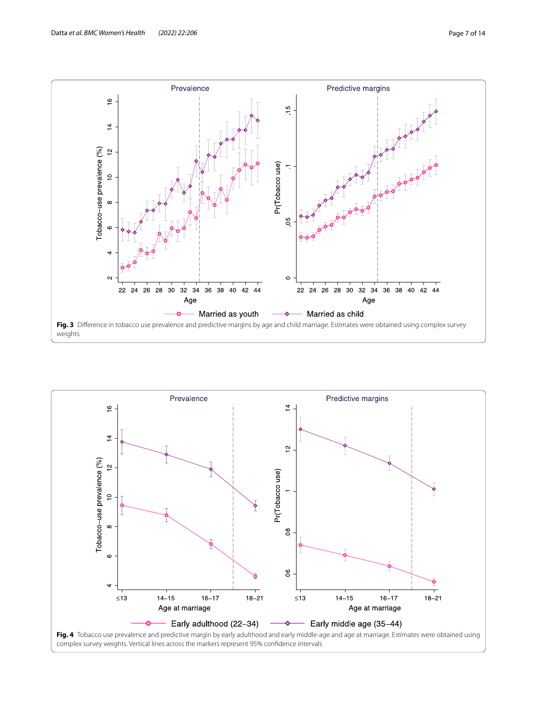

<span id="page-6-1"></span><span id="page-6-0"></span>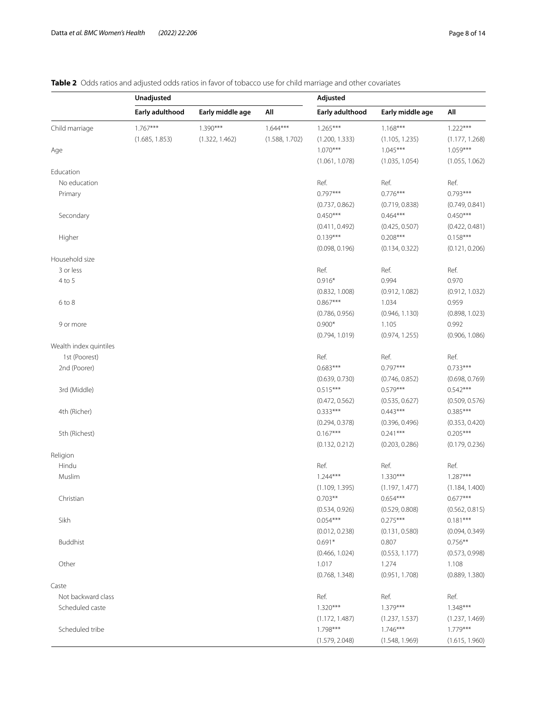# <span id="page-7-0"></span>**Table 2** Odds ratios and adjusted odds ratios in favor of tobacco use for child marriage and other covariates

|                        | Unadjusted      |                  |                | Adjusted        |                  |                |
|------------------------|-----------------|------------------|----------------|-----------------|------------------|----------------|
|                        | Early adulthood | Early middle age | All            | Early adulthood | Early middle age | All            |
| Child marriage         | $1.767***$      | $1.390***$       | $1.644***$     | $1.265***$      | $1.168***$       | $1.222***$     |
|                        | (1.685, 1.853)  | (1.322, 1.462)   | (1.588, 1.702) | (1.200, 1.333)  | (1.105, 1.235)   | (1.177, 1.268) |
| Age                    |                 |                  |                | $1.070***$      | $1.045***$       | $1.059***$     |
|                        |                 |                  |                | (1.061, 1.078)  | (1.035, 1.054)   | (1.055, 1.062) |
| Education              |                 |                  |                |                 |                  |                |
| No education           |                 |                  |                | Ref.            | Ref.             | Ref.           |
| Primary                |                 |                  |                | $0.797***$      | $0.776***$       | $0.793***$     |
|                        |                 |                  |                | (0.737, 0.862)  | (0.719, 0.838)   | (0.749, 0.841) |
| Secondary              |                 |                  |                | $0.450***$      | $0.464***$       | $0.450***$     |
|                        |                 |                  |                | (0.411, 0.492)  | (0.425, 0.507)   | (0.422, 0.481) |
| Higher                 |                 |                  |                | $0.139***$      | $0.208***$       | $0.158***$     |
|                        |                 |                  |                | (0.098, 0.196)  | (0.134, 0.322)   | (0.121, 0.206) |
| Household size         |                 |                  |                |                 |                  |                |
| 3 or less              |                 |                  |                | Ref.            | Ref.             | Ref.           |
| 4 to 5                 |                 |                  |                | $0.916*$        | 0.994            | 0.970          |
|                        |                 |                  |                | (0.832, 1.008)  | (0.912, 1.082)   | (0.912, 1.032) |
| $6$ to $8$             |                 |                  |                | $0.867***$      | 1.034            | 0.959          |
|                        |                 |                  |                | (0.786, 0.956)  | (0.946, 1.130)   | (0.898, 1.023) |
| 9 or more              |                 |                  |                | $0.900*$        | 1.105            | 0.992          |
|                        |                 |                  |                | (0.794, 1.019)  | (0.974, 1.255)   | (0.906, 1.086) |
| Wealth index quintiles |                 |                  |                |                 |                  |                |
| 1st (Poorest)          |                 |                  |                | Ref.            | Ref.             | Ref.           |
| 2nd (Poorer)           |                 |                  |                | $0.683***$      | $0.797***$       | $0.733***$     |
|                        |                 |                  |                | (0.639, 0.730)  | (0.746, 0.852)   | (0.698, 0.769) |
| 3rd (Middle)           |                 |                  |                | $0.515***$      | $0.579***$       | $0.542***$     |
|                        |                 |                  |                | (0.472, 0.562)  | (0.535, 0.627)   | (0.509, 0.576) |
| 4th (Richer)           |                 |                  |                | $0.333***$      | $0.443***$       | $0.385***$     |
|                        |                 |                  |                | (0.294, 0.378)  | (0.396, 0.496)   | (0.353, 0.420) |
| 5th (Richest)          |                 |                  |                | $0.167***$      | $0.241***$       | $0.205***$     |
|                        |                 |                  |                | (0.132, 0.212)  | (0.203, 0.286)   | (0.179, 0.236) |
| Religion               |                 |                  |                |                 |                  |                |
| Hindu                  |                 |                  |                | Ref.            | Ref.             | Ref.           |
| Muslim                 |                 |                  |                | $1.244***$      | $1.330***$       | $1.287***$     |
|                        |                 |                  |                | (1.109, 1.395)  | (1.197, 1.477)   | (1.184, 1.400) |
| Christian              |                 |                  |                | $0.703**$       | $0.654***$       | $0.677***$     |
|                        |                 |                  |                | (0.534, 0.926)  | (0.529, 0.808)   | (0.562, 0.815) |
| Sikh                   |                 |                  |                | $0.054***$      | $0.275***$       | $0.181***$     |
|                        |                 |                  |                | (0.012, 0.238)  | (0.131, 0.580)   | (0.094, 0.349) |
| <b>Buddhist</b>        |                 |                  |                | $0.691*$        | 0.807            | $0.756***$     |
|                        |                 |                  |                | (0.466, 1.024)  | (0.553, 1.177)   | (0.573, 0.998) |
| Other                  |                 |                  |                | 1.017           | 1.274            | 1.108          |
|                        |                 |                  |                | (0.768, 1.348)  | (0.951, 1.708)   | (0.889, 1.380) |
| Caste                  |                 |                  |                |                 |                  |                |
| Not backward class     |                 |                  |                | Ref.            | Ref.             | Ref.           |
| Scheduled caste        |                 |                  |                | $1.320***$      | $1.379***$       | $1.348***$     |
|                        |                 |                  |                | (1.172, 1.487)  | (1.237, 1.537)   | (1.237, 1.469) |
| Scheduled tribe        |                 |                  |                | $1.798***$      | $1.746***$       | $1.779***$     |
|                        |                 |                  |                | (1.579, 2.048)  | (1.548, 1.969)   | (1.615, 1.960) |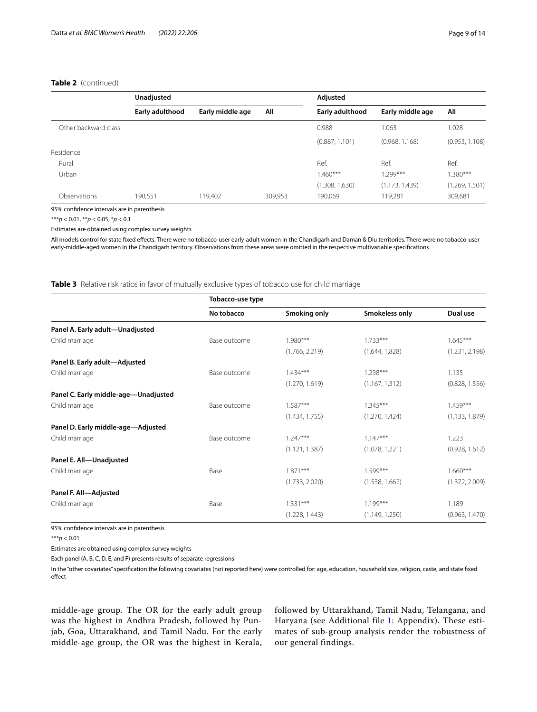#### **Table 2** (continued)

|                      | Unadjusted      |                  |         | Adjusted        |                  |                |
|----------------------|-----------------|------------------|---------|-----------------|------------------|----------------|
|                      | Early adulthood | Early middle age | All     | Early adulthood | Early middle age | All            |
| Other backward class |                 |                  |         | 0.988           | 1.063            | 1.028          |
|                      |                 |                  |         | (0.887, 1.101)  | (0.968, 1.168)   | (0.953, 1.108) |
| Residence            |                 |                  |         |                 |                  |                |
| Rural                |                 |                  |         | Ref.            | Ref.             | Ref.           |
| Urban                |                 |                  |         | $1.460***$      | $1.299***$       | $1.380***$     |
|                      |                 |                  |         | (1.308, 1.630)  | (1.173, 1.439)   | (1.269, 1.501) |
| Observations         | 190,551         | 119.402          | 309,953 | 190,069         | 119,281          | 309,681        |

95% confdence intervals are in parenthesis

\*\*\**p* < 0.01, \*\**p* < 0.05, \**p* < 0.1

Estimates are obtained using complex survey weights

All models control for state fxed efects. There were no tobacco-user early-adult women in the Chandigarh and Daman & Diu territories. There were no tobacco-user early-middle-aged women in the Chandigarh territory. Observations from these areas were omitted in the respective multivariable specifcations

<span id="page-8-0"></span>**Table 3** Relative risk ratios in favor of mutually exclusive types of tobacco use for child marriage

|                                      | Tobacco-use type |                |                |                |  |  |
|--------------------------------------|------------------|----------------|----------------|----------------|--|--|
|                                      | No tobacco       | Smoking only   | Smokeless only | Dual use       |  |  |
| Panel A. Early adult-Unadjusted      |                  |                |                |                |  |  |
| Child marriage                       | Base outcome     | $1.980***$     | $1.733***$     | $1.645***$     |  |  |
|                                      |                  | (1.766, 2.219) | (1.644, 1.828) | (1.231, 2.198) |  |  |
| Panel B. Early adult-Adjusted        |                  |                |                |                |  |  |
| Child marriage                       | Base outcome     | $1.434***$     | $1.238***$     | 1.135          |  |  |
|                                      |                  | (1.270, 1.619) | (1.167, 1.312) | (0.828, 1.556) |  |  |
| Panel C. Early middle-age-Unadjusted |                  |                |                |                |  |  |
| Child marriage                       | Base outcome     | $1.587***$     | $1.345***$     | $1.459***$     |  |  |
|                                      |                  | (1.434, 1.755) | (1.270, 1.424) | (1.133, 1.879) |  |  |
| Panel D. Early middle-age-Adjusted   |                  |                |                |                |  |  |
| Child marriage                       | Base outcome     | $1.247***$     | $1.147***$     | 1.223          |  |  |
|                                      |                  | (1.121, 1.387) | (1.078, 1.221) | (0.928, 1.612) |  |  |
| Panel E. All-Unadjusted              |                  |                |                |                |  |  |
| Child marriage                       | Base             | $1.871***$     | $1.599***$     | $1.660***$     |  |  |
|                                      |                  | (1.733, 2.020) | (1.538, 1.662) | (1.372, 2.009) |  |  |
| Panel F. All-Adjusted                |                  |                |                |                |  |  |
| Child marriage                       | Base             | $1.331***$     | $1.199***$     | 1.189          |  |  |
|                                      |                  | (1.228, 1.443) | (1.149, 1.250) | (0.963, 1.470) |  |  |
|                                      |                  |                |                |                |  |  |

95% confdence intervals are in parenthesis

\*\*\**p* < 0.01

Estimates are obtained using complex survey weights

Each panel (A, B, C, D, E, and F) presents results of separate regressions

In the "other covariates" specifcation the following covariates (not reported here) were controlled for: age, education, household size, religion, caste, and state fxed effect

middle-age group. The OR for the early adult group was the highest in Andhra Pradesh, followed by Punjab, Goa, Uttarakhand, and Tamil Nadu. For the early middle-age group, the OR was the highest in Kerala, followed by Uttarakhand, Tamil Nadu, Telangana, and Haryana (see Additional file [1:](#page-12-9) Appendix). These estimates of sub-group analysis render the robustness of our general findings.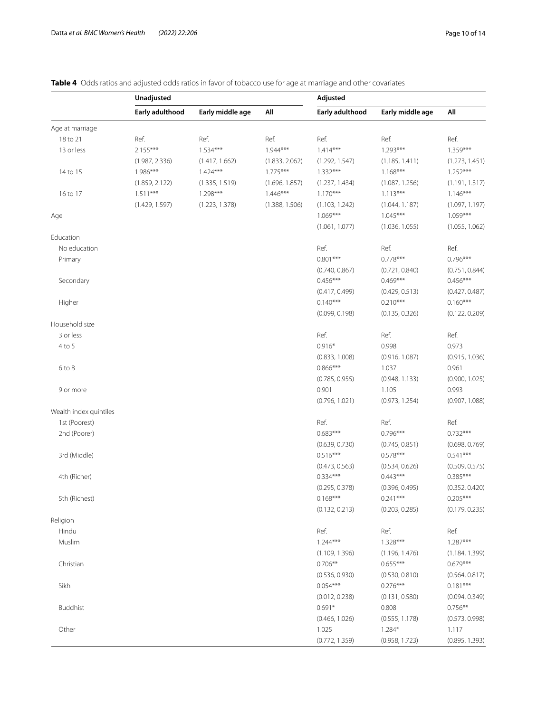# <span id="page-9-0"></span>**Table 4** Odds ratios and adjusted odds ratios in favor of tobacco use for age at marriage and other covariates

|                        | Unadjusted      |                  |                | Adjusted                     |                              |                              |
|------------------------|-----------------|------------------|----------------|------------------------------|------------------------------|------------------------------|
|                        | Early adulthood | Early middle age | All            | Early adulthood              | Early middle age             | All                          |
| Age at marriage        |                 |                  |                |                              |                              |                              |
| 18 to 21               | Ref.            | Ref.             | Ref.           | Ref.                         | Ref.                         | Ref.                         |
| 13 or less             | $2.155***$      | $1.534***$       | $1.944***$     | $1.414***$                   | $1.293***$                   | 1.359***                     |
|                        | (1.987, 2.336)  | (1.417, 1.662)   | (1.833, 2.062) | (1.292, 1.547)               | (1.185, 1.411)               | (1.273, 1.451)               |
| 14 to 15               | 1.986***        | $1.424***$       | $1.775***$     | $1.332***$                   | $1.168***$                   | $1.252***$                   |
|                        | (1.859, 2.122)  | (1.335, 1.519)   | (1.696, 1.857) | (1.237, 1.434)               | (1.087, 1.256)               | (1.191, 1.317)               |
| 16 to 17               | $1.511***$      | $1.298***$       | $1.446***$     | $1.170***$                   | $1.113***$                   | $1.146***$                   |
|                        | (1.429, 1.597)  | (1.223, 1.378)   | (1.388, 1.506) | (1.103, 1.242)               | (1.044, 1.187)               | (1.097, 1.197)               |
| Age                    |                 |                  |                | $1.069***$                   | $1.045***$                   | $1.059***$                   |
|                        |                 |                  |                | (1.061, 1.077)               | (1.036, 1.055)               | (1.055, 1.062)               |
| Education              |                 |                  |                |                              |                              |                              |
| No education           |                 |                  |                | Ref.                         | Ref.                         | Ref.                         |
| Primary                |                 |                  |                | $0.801***$                   | $0.778***$                   | $0.796***$                   |
|                        |                 |                  |                | (0.740, 0.867)               | (0.721, 0.840)               | (0.751, 0.844)               |
| Secondary              |                 |                  |                | $0.456***$                   | $0.469***$                   | $0.456***$                   |
|                        |                 |                  |                | (0.417, 0.499)               | (0.429, 0.513)               | (0.427, 0.487)               |
| Higher                 |                 |                  |                | $0.140***$                   | $0.210***$                   | $0.160***$                   |
|                        |                 |                  |                | (0.099, 0.198)               | (0.135, 0.326)               | (0.122, 0.209)               |
| Household size         |                 |                  |                |                              |                              |                              |
| 3 or less              |                 |                  |                | Ref.                         | Ref.                         | Ref.                         |
| $4$ to $5$             |                 |                  |                | $0.916*$                     | 0.998                        | 0.973                        |
|                        |                 |                  |                | (0.833, 1.008)               | (0.916, 1.087)               | (0.915, 1.036)               |
| $6$ to $8$             |                 |                  |                | $0.866***$                   | 1.037                        | 0.961                        |
|                        |                 |                  |                | (0.785, 0.955)               | (0.948, 1.133)               | (0.900, 1.025)               |
| 9 or more              |                 |                  |                | 0.901                        | 1.105                        | 0.993                        |
|                        |                 |                  |                | (0.796, 1.021)               | (0.973, 1.254)               | (0.907, 1.088)               |
| Wealth index quintiles |                 |                  |                |                              |                              |                              |
| 1st (Poorest)          |                 |                  |                | Ref.                         | Ref.                         | Ref.                         |
| 2nd (Poorer)           |                 |                  |                | $0.683***$                   | $0.796***$                   | $0.732***$                   |
|                        |                 |                  |                | (0.639, 0.730)               | (0.745, 0.851)               | (0.698, 0.769)               |
| 3rd (Middle)           |                 |                  |                | $0.516***$                   | $0.578***$                   | $0.541***$                   |
|                        |                 |                  |                | (0.473, 0.563)               | (0.534, 0.626)               | (0.509, 0.575)<br>$0.385***$ |
| 4th (Richer)           |                 |                  |                | $0.334***$<br>(0.295, 0.378) | $0.443***$                   | (0.352, 0.420)               |
|                        |                 |                  |                | $0.168***$                   | (0.396, 0.495)<br>$0.241***$ |                              |
| 5th (Richest)          |                 |                  |                |                              |                              | $0.205***$                   |
| Religion               |                 |                  |                | (0.132, 0.213)               | (0.203, 0.285)               | (0.179, 0.235)               |
| Hindu                  |                 |                  |                | Ref.                         | Ref.                         | Ref.                         |
| Muslim                 |                 |                  |                | $1.244***$                   | $1.328***$                   | $1.287***$                   |
|                        |                 |                  |                | (1.109, 1.396)               | (1.196, 1.476)               | (1.184, 1.399)               |
| Christian              |                 |                  |                | $0.706**$                    | $0.655***$                   | $0.679***$                   |
|                        |                 |                  |                | (0.536, 0.930)               | (0.530, 0.810)               | (0.564, 0.817)               |
| Sikh                   |                 |                  |                | $0.054***$                   | $0.276***$                   | $0.181***$                   |
|                        |                 |                  |                | (0.012, 0.238)               | (0.131, 0.580)               | (0.094, 0.349)               |
| <b>Buddhist</b>        |                 |                  |                | $0.691*$                     | 0.808                        | $0.756**$                    |
|                        |                 |                  |                | (0.466, 1.026)               | (0.555, 1.178)               | (0.573, 0.998)               |
| Other                  |                 |                  |                | 1.025                        | $1.284*$                     | 1.117                        |
|                        |                 |                  |                | (0.772, 1.359)               | (0.958, 1.723)               | (0.895, 1.393)               |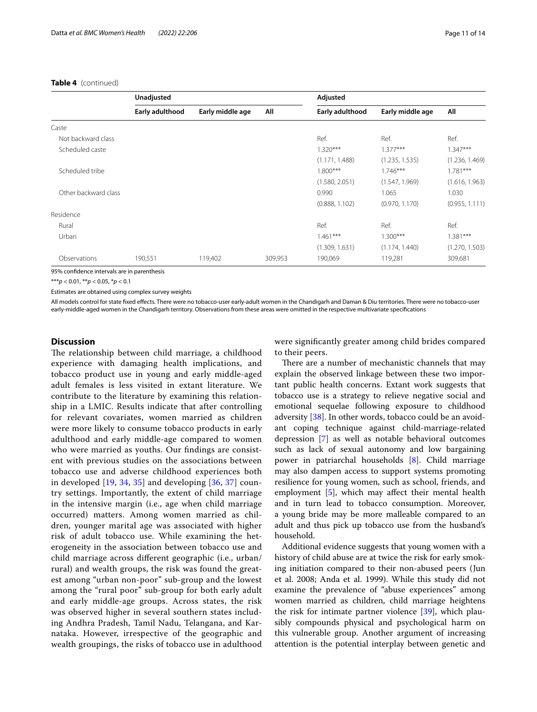|                      | Unadjusted      |                  |         | Adjusted        |                  |                |
|----------------------|-----------------|------------------|---------|-----------------|------------------|----------------|
|                      | Early adulthood | Early middle age | All     | Early adulthood | Early middle age | All            |
| Caste                |                 |                  |         |                 |                  |                |
| Not backward class   |                 |                  |         | Ref.            | Ref.             | Ref.           |
| Scheduled caste      |                 |                  |         | $1.320***$      | $1.377***$       | $1.347***$     |
|                      |                 |                  |         | (1.171, 1.488)  | (1.235, 1.535)   | (1.236, 1.469) |
| Scheduled tribe      |                 |                  |         | $1.800***$      | $1.746***$       | $1.781***$     |
|                      |                 |                  |         | (1.580, 2.051)  | (1.547, 1.969)   | (1.616, 1.963) |
| Other backward class |                 |                  |         | 0.990           | 1.065            | 1.030          |
|                      |                 |                  |         | (0.888, 1.102)  | (0.970, 1.170)   | (0.955, 1.111) |
| Residence            |                 |                  |         |                 |                  |                |
| Rural                |                 |                  |         | Ref.            | Ref.             | Ref.           |
| Urban                |                 |                  |         | $1.461***$      | $1.300***$       | $1.381***$     |
|                      |                 |                  |         | (1.309, 1.631)  | (1.174, 1.440)   | (1.270, 1.503) |
| Observations         | 190,551         | 119,402          | 309,953 | 190,069         | 119,281          | 309,681        |

95% confdence intervals are in parenthesis

\*\*\**p* < 0.01, \*\**p* < 0.05, \**p* < 0.1

Estimates are obtained using complex survey weights

All models control for state fxed efects. There were no tobacco-user early-adult women in the Chandigarh and Daman & Diu territories. There were no tobacco-user early-middle-aged women in the Chandigarh territory. Observations from these areas were omitted in the respective multivariate specifcations

#### **Discussion**

The relationship between child marriage, a childhood experience with damaging health implications, and tobacco product use in young and early middle-aged adult females is less visited in extant literature. We contribute to the literature by examining this relationship in a LMIC. Results indicate that after controlling for relevant covariates, women married as children were more likely to consume tobacco products in early adulthood and early middle-age compared to women who were married as youths. Our fndings are consistent with previous studies on the associations between tobacco use and adverse childhood experiences both in developed  $[19, 34, 35]$  $[19, 34, 35]$  $[19, 34, 35]$  $[19, 34, 35]$  $[19, 34, 35]$  $[19, 34, 35]$  and developing  $[36, 37]$  $[36, 37]$  $[36, 37]$  $[36, 37]$  country settings. Importantly, the extent of child marriage in the intensive margin (i.e., age when child marriage occurred) matters. Among women married as children, younger marital age was associated with higher risk of adult tobacco use. While examining the heterogeneity in the association between tobacco use and child marriage across diferent geographic (i.e., urban/ rural) and wealth groups, the risk was found the greatest among "urban non-poor" sub-group and the lowest among the "rural poor" sub-group for both early adult and early middle-age groups. Across states, the risk was observed higher in several southern states including Andhra Pradesh, Tamil Nadu, Telangana, and Karnataka. However, irrespective of the geographic and wealth groupings, the risks of tobacco use in adulthood were signifcantly greater among child brides compared to their peers.

There are a number of mechanistic channels that may explain the observed linkage between these two important public health concerns. Extant work suggests that tobacco use is a strategy to relieve negative social and emotional sequelae following exposure to childhood adversity [[38\]](#page-13-26). In other words, tobacco could be an avoidant coping technique against child-marriage-related depression [[7\]](#page-12-5) as well as notable behavioral outcomes such as lack of sexual autonomy and low bargaining power in patriarchal households [[8\]](#page-12-6). Child marriage may also dampen access to support systems promoting resilience for young women, such as school, friends, and employment [[5\]](#page-12-3), which may afect their mental health and in turn lead to tobacco consumption. Moreover, a young bride may be more malleable compared to an adult and thus pick up tobacco use from the husband's household.

Additional evidence suggests that young women with a history of child abuse are at twice the risk for early smoking initiation compared to their non-abused peers (Jun et al. 2008; Anda et al. 1999). While this study did not examine the prevalence of "abuse experiences" among women married as children, child marriage heightens the risk for intimate partner violence  $[39]$  $[39]$  $[39]$ , which plausibly compounds physical and psychological harm on this vulnerable group. Another argument of increasing attention is the potential interplay between genetic and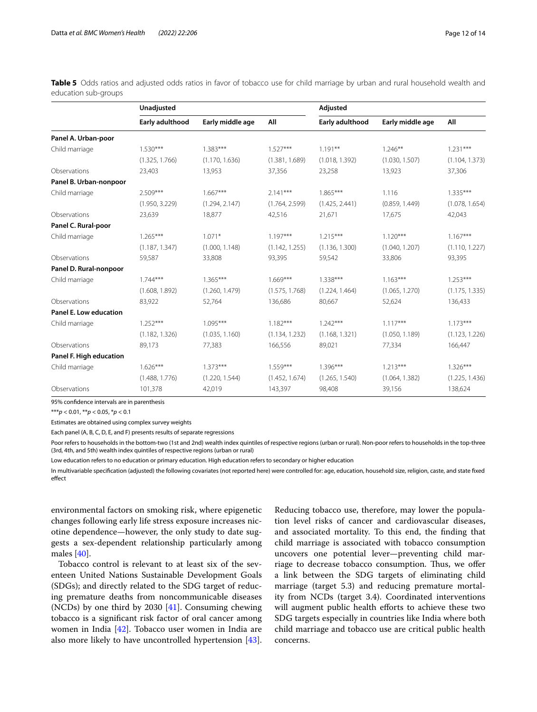<span id="page-11-0"></span>**Table 5** Odds ratios and adjusted odds ratios in favor of tobacco use for child marriage by urban and rural household wealth and education sub-groups

|                         | Unadjusted      |                  |                | Adjusted        |                  |                |
|-------------------------|-----------------|------------------|----------------|-----------------|------------------|----------------|
|                         | Early adulthood | Early middle age | All            | Early adulthood | Early middle age | All            |
| Panel A. Urban-poor     |                 |                  |                |                 |                  |                |
| Child marriage          | $1.530***$      | $1.383***$       | $1.527***$     | $1.191**$       | $1.246***$       | $1.231***$     |
|                         | (1.325, 1.766)  | (1.170, 1.636)   | (1.381, 1.689) | (1.018, 1.392)  | (1.030, 1.507)   | (1.104, 1.373) |
| Observations            | 23,403          | 13,953           | 37,356         | 23,258          | 13,923           | 37,306         |
| Panel B. Urban-nonpoor  |                 |                  |                |                 |                  |                |
| Child marriage          | $2.509***$      | $1.667***$       | $2.141***$     | $1.865***$      | 1.116            | $1.335***$     |
|                         | (1.950, 3.229)  | (1.294, 2.147)   | (1.764, 2.599) | (1.425, 2.441)  | (0.859, 1.449)   | (1.078, 1.654) |
| Observations            | 23,639          | 18,877           | 42,516         | 21,671          | 17,675           | 42,043         |
| Panel C. Rural-poor     |                 |                  |                |                 |                  |                |
| Child marriage          | $1.265***$      | $1.071*$         | $1.197***$     | $1.215***$      | $1.120***$       | $1.167***$     |
|                         | (1.187, 1.347)  | (1.000, 1.148)   | (1.142, 1.255) | (1.136, 1.300)  | (1.040, 1.207)   | (1.110, 1.227) |
| Observations            | 59,587          | 33,808           | 93,395         | 59,542          | 33,806           | 93,395         |
| Panel D. Rural-nonpoor  |                 |                  |                |                 |                  |                |
| Child marriage          | $1.744***$      | $1.365***$       | $1.669***$     | $1.338***$      | $1.163***$       | $1.253***$     |
|                         | (1.608, 1.892)  | (1.260, 1.479)   | (1.575, 1.768) | (1.224, 1.464)  | (1.065, 1.270)   | (1.175, 1.335) |
| Observations            | 83,922          | 52,764           | 136,686        | 80,667          | 52,624           | 136,433        |
| Panel E. Low education  |                 |                  |                |                 |                  |                |
| Child marriage          | $1.252***$      | $1.095***$       | $1.182***$     | $1.242***$      | $1.117***$       | $1.173***$     |
|                         | (1.182, 1.326)  | (1.035, 1.160)   | (1.134, 1.232) | (1.168, 1.321)  | (1.050, 1.189)   | (1.123, 1.226) |
| Observations            | 89,173          | 77,383           | 166,556        | 89,021          | 77,334           | 166,447        |
| Panel F. High education |                 |                  |                |                 |                  |                |
| Child marriage          | $1.626***$      | $1.373***$       | $1.559***$     | $1.396***$      | $1.213***$       | $1.326***$     |
|                         | (1.488, 1.776)  | (1.220, 1.544)   | (1.452, 1.674) | (1.265, 1.540)  | (1.064, 1.382)   | (1.225, 1.436) |
| Observations            | 101,378         | 42,019           | 143,397        | 98,408          | 39,156           | 138,624        |

95% confdence intervals are in parenthesis

\*\*\**p* < 0.01, \*\**p* < 0.05, \**p* < 0.1

Estimates are obtained using complex survey weights

Each panel (A, B, C, D, E, and F) presents results of separate regressions

Poor refers to households in the bottom-two (1st and 2nd) wealth index quintiles of respective regions (urban or rural). Non-poor refers to households in the top-three (3rd, 4th, and 5th) wealth index quintiles of respective regions (urban or rural)

Low education refers to no education or primary education. High education refers to secondary or higher education

In multivariable specifcation (adjusted) the following covariates (not reported here) were controlled for: age, education, household size, religion, caste, and state fxed effect

environmental factors on smoking risk, where epigenetic changes following early life stress exposure increases nicotine dependence—however, the only study to date suggests a sex-dependent relationship particularly among males [[40\]](#page-13-28).

Tobacco control is relevant to at least six of the seventeen United Nations Sustainable Development Goals (SDGs); and directly related to the SDG target of reducing premature deaths from noncommunicable diseases (NCDs) by one third by 2030 [[41\]](#page-13-29). Consuming chewing tobacco is a signifcant risk factor of oral cancer among women in India [\[42\]](#page-13-30). Tobacco user women in India are also more likely to have uncontrolled hypertension [\[43](#page-13-31)].

Reducing tobacco use, therefore, may lower the population level risks of cancer and cardiovascular diseases, and associated mortality. To this end, the fnding that child marriage is associated with tobacco consumption uncovers one potential lever—preventing child marriage to decrease tobacco consumption. Thus, we offer a link between the SDG targets of eliminating child marriage (target 5.3) and reducing premature mortality from NCDs (target 3.4). Coordinated interventions will augment public health efforts to achieve these two SDG targets especially in countries like India where both child marriage and tobacco use are critical public health concerns.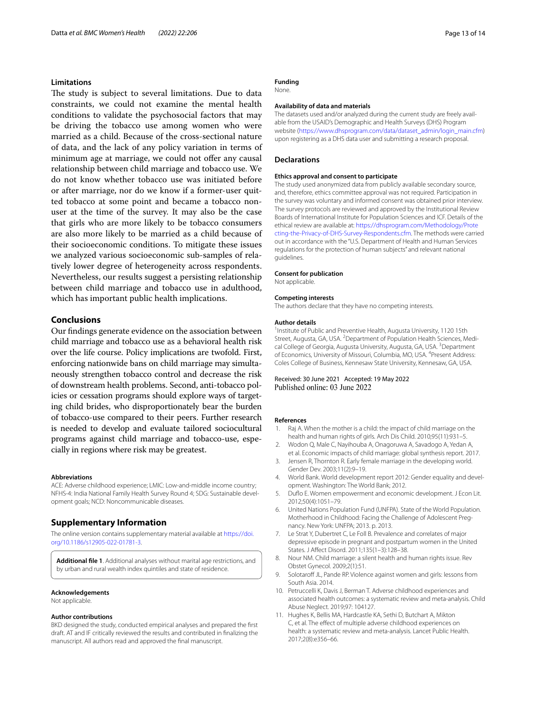#### **Limitations**

The study is subject to several limitations. Due to data constraints, we could not examine the mental health conditions to validate the psychosocial factors that may be driving the tobacco use among women who were married as a child. Because of the cross-sectional nature of data, and the lack of any policy variation in terms of minimum age at marriage, we could not offer any causal relationship between child marriage and tobacco use. We do not know whether tobacco use was initiated before or after marriage, nor do we know if a former-user quitted tobacco at some point and became a tobacco nonuser at the time of the survey. It may also be the case that girls who are more likely to be tobacco consumers are also more likely to be married as a child because of their socioeconomic conditions. To mitigate these issues we analyzed various socioeconomic sub-samples of relatively lower degree of heterogeneity across respondents. Nevertheless, our results suggest a persisting relationship between child marriage and tobacco use in adulthood, which has important public health implications.

#### **Conclusions**

Our fndings generate evidence on the association between child marriage and tobacco use as a behavioral health risk over the life course. Policy implications are twofold. First, enforcing nationwide bans on child marriage may simultaneously strengthen tobacco control and decrease the risk of downstream health problems. Second, anti-tobacco policies or cessation programs should explore ways of targeting child brides, who disproportionately bear the burden of tobacco-use compared to their peers. Further research is needed to develop and evaluate tailored sociocultural programs against child marriage and tobacco-use, especially in regions where risk may be greatest.

#### **Abbreviations**

ACE: Adverse childhood experience; LMIC: Low-and-middle income country; NFHS-4: India National Family Health Survey Round 4; SDG: Sustainable development goals; NCD: Noncommunicable diseases.

#### **Supplementary Information**

The online version contains supplementary material available at [https://doi.](https://doi.org/10.1186/s12905-022-01781-3) [org/10.1186/s12905-022-01781-3](https://doi.org/10.1186/s12905-022-01781-3).

<span id="page-12-9"></span>**Additional fle 1**. Additional analyses without marital age restrictions, and by urban and rural wealth index quintiles and state of residence.

#### **Acknowledgements**

Not applicable.

#### **Author contributions**

BKD designed the study, conducted empirical analyses and prepared the frst draft. AT and IF critically reviewed the results and contributed in fnalizing the manuscript. All authors read and approved the fnal manuscript.

#### **Funding**

None.

#### **Availability of data and materials**

The datasets used and/or analyzed during the current study are freely available from the USAID's Demographic and Health Surveys (DHS) Program website ([https://www.dhsprogram.com/data/dataset\\_admin/login\\_main.cfm\)](https://www.dhsprogram.com/data/dataset_admin/login_main.cfm) upon registering as a DHS data user and submitting a research proposal.

#### **Declarations**

#### **Ethics approval and consent to participate**

The study used anonymized data from publicly available secondary source, and, therefore, ethics committee approval was not required. Participation in the survey was voluntary and informed consent was obtained prior interview. The survey protocols are reviewed and approved by the Institutional Review Boards of International Institute for Population Sciences and ICF. Details of the ethical review are available at: [https://dhsprogram.com/Methodology/Prote](https://dhsprogram.com/Methodology/Protecting-the-Privacy-of-DHS-Survey-Respondents.cfm) [cting-the-Privacy-of-DHS-Survey-Respondents.cfm](https://dhsprogram.com/Methodology/Protecting-the-Privacy-of-DHS-Survey-Respondents.cfm). The methods were carried out in accordance with the "U.S. Department of Health and Human Services regulations for the protection of human subjects" and relevant national guidelines.

#### **Consent for publication**

Not applicable.

#### **Competing interests**

The authors declare that they have no competing interests.

#### **Author details**

<sup>1</sup> Institute of Public and Preventive Health, Augusta University, 1120 15th Street, Augusta, GA, USA. <sup>2</sup> Department of Population Health Sciences, Medical College of Georgia, Augusta University, Augusta, GA, USA. <sup>3</sup> Department of Economics, University of Missouri, Columbia, MO, USA. <sup>4</sup> Present Address: Coles College of Business, Kennesaw State University, Kennesaw, GA, USA.

# Received: 30 June 2021 Accepted: 19 May 2022<br>Published online: 03 June 2022

#### **References**

- <span id="page-12-0"></span>1. Raj A. When the mother is a child: the impact of child marriage on the health and human rights of girls. Arch Dis Child. 2010;95(11):931–5.
- <span id="page-12-1"></span>2. Wodon Q, Male C, Nayihouba A, Onagoruwa A, Savadogo A, Yedan A, et al. Economic impacts of child marriage: global synthesis report. 2017.
- 3. Jensen R, Thornton R. Early female marriage in the developing world. Gender Dev. 2003;11(2):9–19.
- <span id="page-12-2"></span>4. World Bank. World development report 2012: Gender equality and development. Washington: The World Bank; 2012.
- <span id="page-12-3"></span>5. Dufo E. Women empowerment and economic development. J Econ Lit. 2012;50(4):1051–79.
- <span id="page-12-4"></span>6. United Nations Population Fund (UNFPA). State of the World Population. Motherhood in Childhood: Facing the Challenge of Adolescent Pregnancy. New York: UNFPA; 2013. p. 2013.
- <span id="page-12-5"></span>7. Le Strat Y, Dubertret C, Le Foll B. Prevalence and correlates of major depressive episode in pregnant and postpartum women in the United States. J Afect Disord. 2011;135(1–3):128–38.
- <span id="page-12-6"></span>8. Nour NM. Child marriage: a silent health and human rights issue. Rev Obstet Gynecol. 2009;2(1):51.
- <span id="page-12-7"></span>9. Solotaroff JL, Pande RP. Violence against women and girls: lessons from South Asia. 2014.
- <span id="page-12-8"></span>10. Petruccelli K, Davis J, Berman T. Adverse childhood experiences and associated health outcomes: a systematic review and meta-analysis. Child Abuse Neglect. 2019;97: 104127.
- 11. Hughes K, Bellis MA, Hardcastle KA, Sethi D, Butchart A, Mikton C, et al. The efect of multiple adverse childhood experiences on health: a systematic review and meta-analysis. Lancet Public Health. 2017;2(8):e356–66.